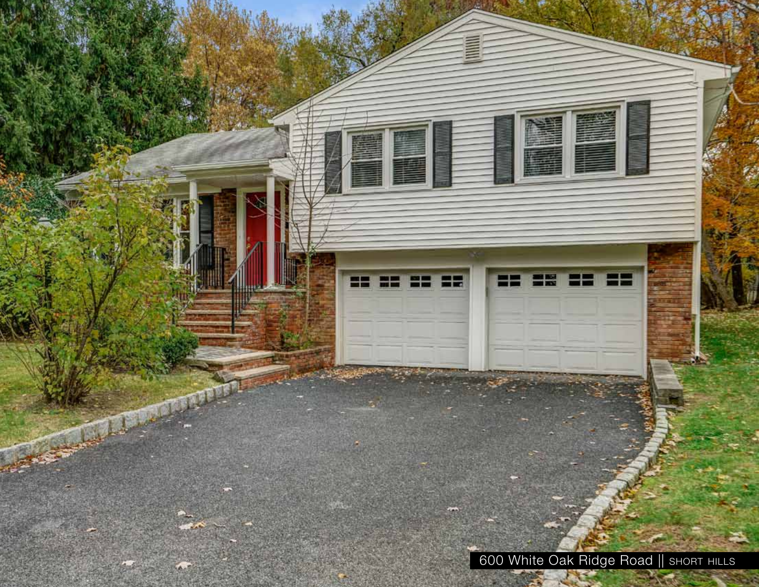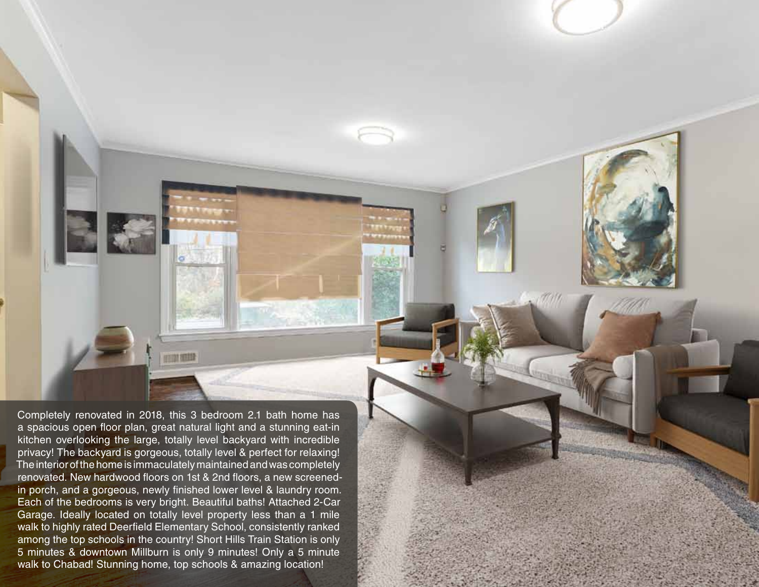Completely renovated in 2018, this 3 bedroom 2.1 bath home has a spacious open floor plan, great natural light and a stunning eat-in kitchen overlooking the large, totally level backyard with incredible privacy! The backyard is gorgeous, totally level & perfect for relaxing! The interior of the home is immaculately maintained and was completely renovated. New hardwood floors on 1st & 2nd floors, a new screenedin porch, and a gorgeous, newly finished lower level & laundry room. Each of the bedrooms is very bright. Beautiful baths! Attached 2-Car Garage. Ideally located on totally level property less than a 1 mile walk to highly rated Deerfield Elementary School, consistently ranked among the top schools in the country! Short Hills Train Station is only 5 minutes & downtown Millburn is only 9 minutes! Only a 5 minute walk to Chabad! Stunning home, top schools & amazing location!

11001111111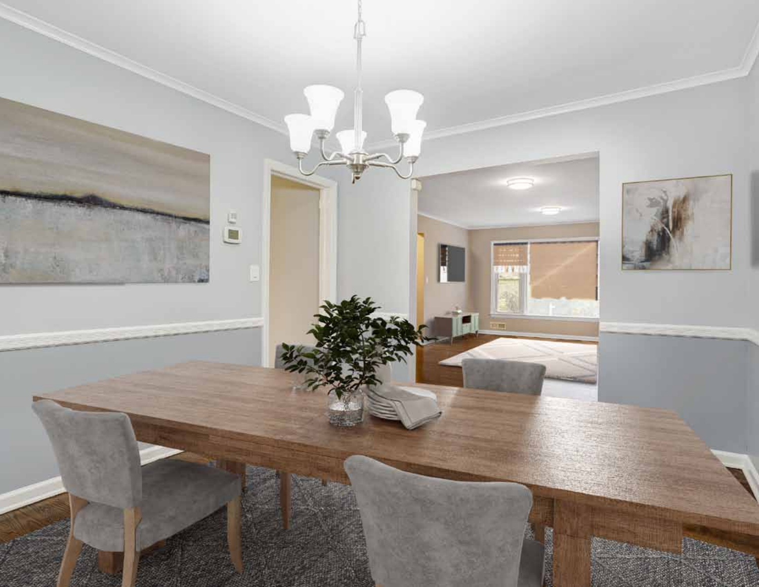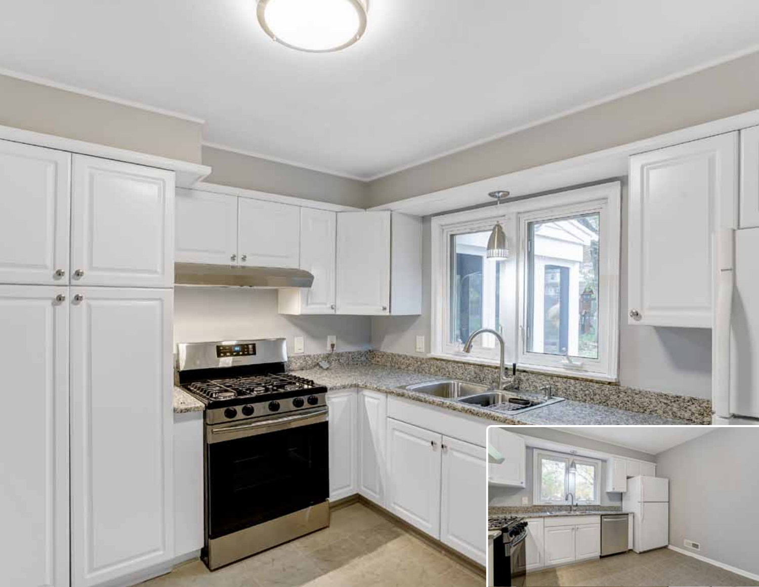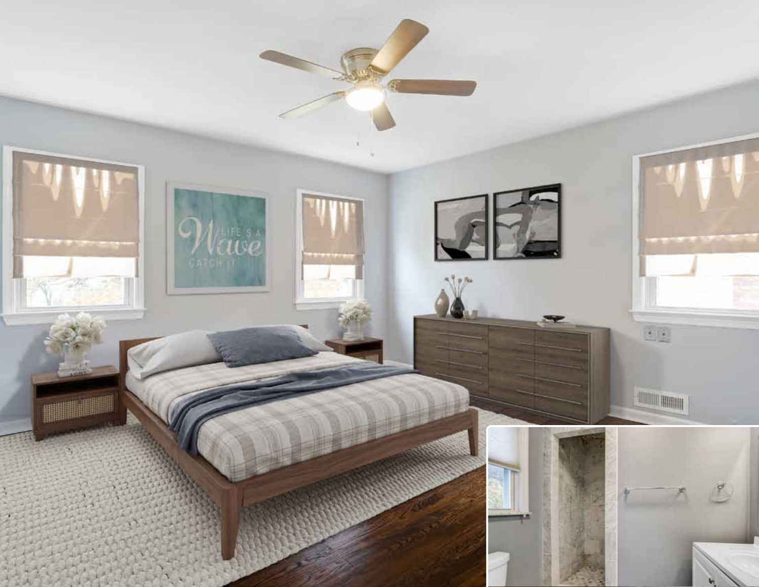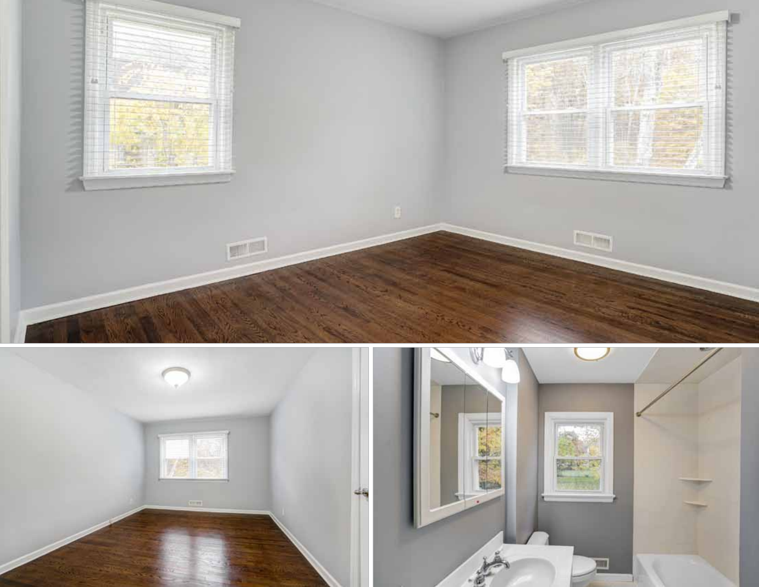



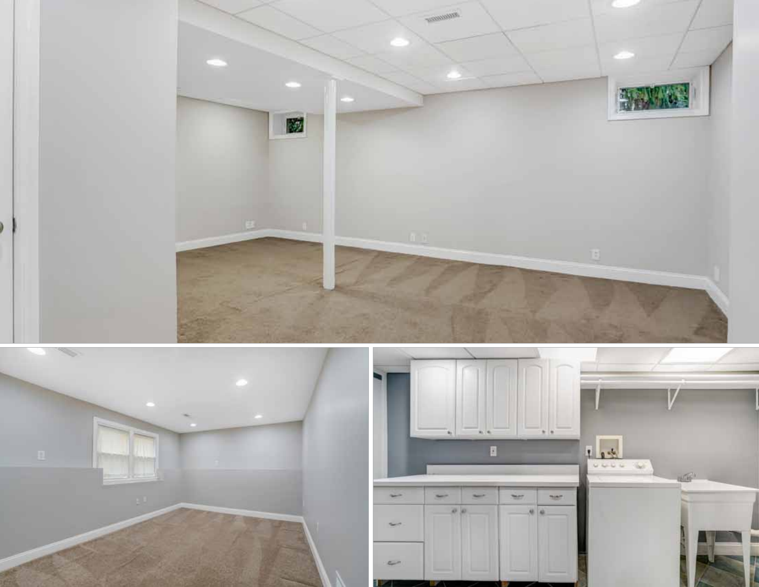